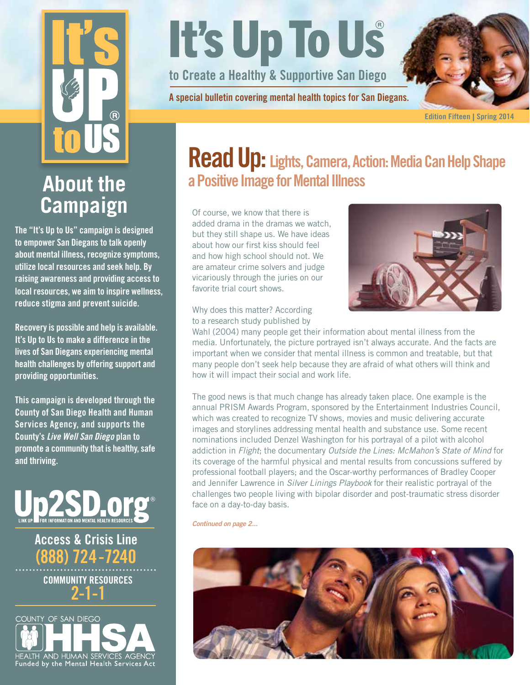# $\widehat{R}$

# **About the Campaign**

The "It's Up to Us" campaign is designed to empower San Diegans to talk openly about mental illness, recognize symptoms, utilize local resources and seek help. By raising awareness and providing access to local resources, we aim to inspire wellness, reduce stigma and prevent suicide.

Recovery is possible and help is available. It's Up to Us to make a difference in the lives of San Diegans experiencing mental health challenges by offering support and providing opportunities.

This campaign is developed through the County of San Diego Health and Human Services Agency, and supports the County's *Live Well San Diego* plan to promote a community that is healthy, safe and thriving.



Access & Crisis Line (888) 724-7240 COMMUNITY RESOURCES 2-1-1



# It's Up To Us

to Create a Healthy & Supportive San Diego

A special bulletin covering mental health topics for San Diegans.



Edition Fifteen | Spring 2014

# Read Up: Lights, Camera, Action: Media Can Help Shape a Positive Image for Mental Illness

Of course, we know that there is added drama in the dramas we watch, but they still shape us. We have ideas about how our first kiss should feel and how high school should not. We are amateur crime solvers and judge vicariously through the juries on our favorite trial court shows.



Why does this matter? According to a research study published by

Wahl (2004) many people get their information about mental illness from the media. Unfortunately, the picture portrayed isn't always accurate. And the facts are important when we consider that mental illness is common and treatable, but that many people don't seek help because they are afraid of what others will think and how it will impact their social and work life.

The good news is that much change has already taken place. One example is the annual PRISM Awards Program, sponsored by the Entertainment Industries Council, which was created to recognize TV shows, movies and music delivering accurate images and storylines addressing mental health and substance use. Some recent nominations included Denzel Washington for his portrayal of a pilot with alcohol addiction in *Flight*; the documentary *Outside the Lines: McMahon's State of Mind* for its coverage of the harmful physical and mental results from concussions suffered by professional football players; and the Oscar-worthy performances of Bradley Cooper and Jennifer Lawrence in *Silver Linings Playbook* for their realistic portrayal of the challenges two people living with bipolar disorder and post-traumatic stress disorder face on a day-to-day basis.

*Continued on page 2...*

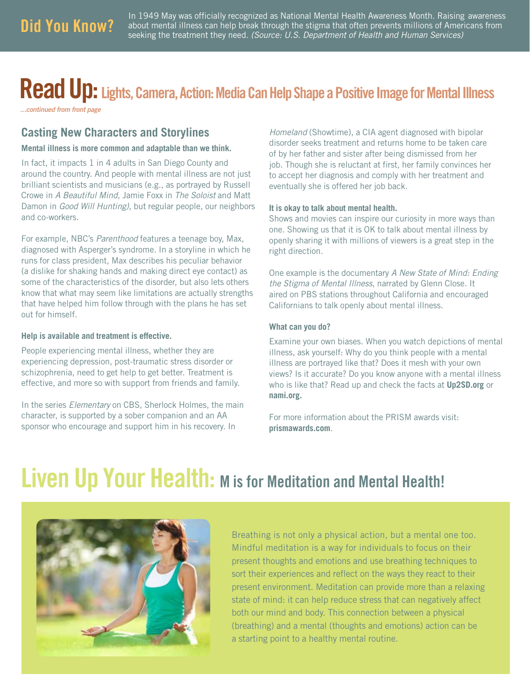In 1949 May was officially recognized as National Mental Health Awareness Month. Raising awareness **Did You Know?** about mental illness can help break through the stigma that often prevents millions of Americans from seeking the treatment they need. *(Source: U.S. Department of Health and Human Services)* 

# Read Up: Lights, Camera, Action: Media Can Help Shape a Positive Image for Mental Illness

*...continued from front page*

### **Casting New Characters and Storylines**

### **Mental illness is more common and adaptable than we think.**

In fact, it impacts 1 in 4 adults in San Diego County and around the country. And people with mental illness are not just brilliant scientists and musicians (e.g., as portrayed by Russell Crowe in *A Beautiful Mind,* Jamie Foxx in *The Soloist* and Matt Damon in *Good Will Hunting)*, but regular people, our neighbors and co-workers.

For example, NBC's *Parenthood* features a teenage boy, Max, diagnosed with Asperger's syndrome. In a storyline in which he runs for class president, Max describes his peculiar behavior (a dislike for shaking hands and making direct eye contact) as some of the characteristics of the disorder, but also lets others know that what may seem like limitations are actually strengths that have helped him follow through with the plans he has set out for himself.

### **Help is available and treatment is effective.**

People experiencing mental illness, whether they are experiencing depression, post-traumatic stress disorder or schizophrenia, need to get help to get better. Treatment is effective, and more so with support from friends and family.

In the series *Elementary* on CBS, Sherlock Holmes, the main character, is supported by a sober companion and an AA sponsor who encourage and support him in his recovery. In

*Homeland* (Showtime), a CIA agent diagnosed with bipolar disorder seeks treatment and returns home to be taken care of by her father and sister after being dismissed from her job. Though she is reluctant at first, her family convinces her to accept her diagnosis and comply with her treatment and eventually she is offered her job back.

### **It is okay to talk about mental health.**

Shows and movies can inspire our curiosity in more ways than one. Showing us that it is OK to talk about mental illness by openly sharing it with millions of viewers is a great step in the right direction.

One example is the documentary *A New State of Mind: Ending the Stigma of Mental Illness*, narrated by Glenn Close. It aired on PBS stations throughout California and encouraged Californians to talk openly about mental illness.

### **What can you do?**

Examine your own biases. When you watch depictions of mental illness, ask yourself: Why do you think people with a mental illness are portrayed like that? Does it mesh with your own views? Is it accurate? Do you know anyone with a mental illness who is like that? Read up and check the facts at **Up2SD.org** or **nami.org.**

For more information about the PRISM awards visit: **prismawards.com**.

# Liven Up Your Health: M is for Meditation and Mental Health!



Breathing is not only a physical action, but a mental one too. Mindful meditation is a way for individuals to focus on their present thoughts and emotions and use breathing techniques to sort their experiences and reflect on the ways they react to their present environment. Meditation can provide more than a relaxing state of mind: it can help reduce stress that can negatively affect both our mind and body. This connection between a physical (breathing) and a mental (thoughts and emotions) action can be a starting point to a healthy mental routine.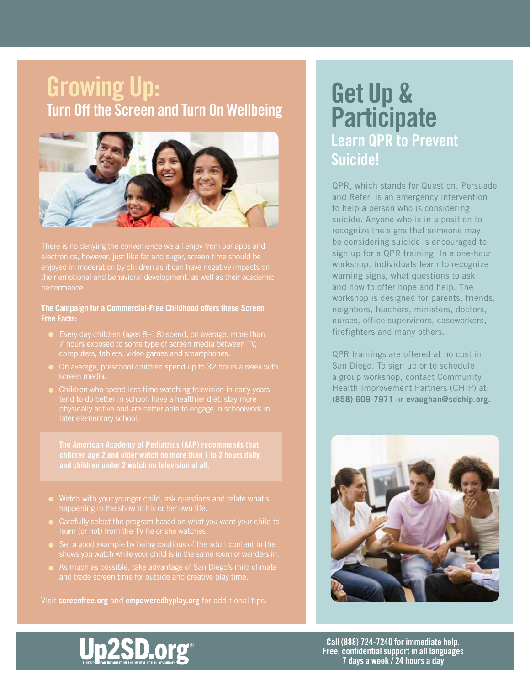# Growing Up: **Growing Up:**<br>Turn Off the Screen and Turn On Wellbeing **Get Up &**



enjoyed in moderation by children as it can have negative impacts on their emotional and behavioral development, as well as their academic performance.

### **The Campaign for a Commercial-Free Childhood offers these Screen Free Facts:**

- Every day children (ages 8-18) spend, on average, more than computers, tablets, video games and smartphones.
- On average, preschool children spend up to 32 hours a week with screen media.
- tend to do better in school, have a healthier diet, stay more physically active and are better able to engage in schoolwork in

children age 2 and older watch no more than 1 to 2 hours daily,

- 
- 
- 
- As much as possible, take advantage of San Diego's mild climate and trade screen time for outside and creative play time.

Visit **screenfree.org** and **empoweredbyplay.org** for additional tips.

# **Participate** Learn QPR to Prevent Suicide!

QPR, which stands for Question, Persuade and Refer, is an emergency intervention to help a person who is considering suicide. Anyone who is in a position to recognize the signs that someone may be considering suicide is encouraged to sign up for a QPR training. In a one-hour workshop, individuals learn to recognize warning signs, what questions to ask and how to offer hope and help. The workshop is designed for parents, friends, neighbors, teachers, ministers, doctors, nurses, office supervisors, caseworkers, firefighters and many others.

QPR trainings are offered at no cost in San Diego. To sign up or to schedule a group workshop, contact Community Health Improvement Partners (CHIP) at: **(858) 609-7971** or **evaughan@sdchip.org.**





Call (888) 724-7240 for immediate help. Free, confidential support in all languages 7 days a week / 24 hours a day